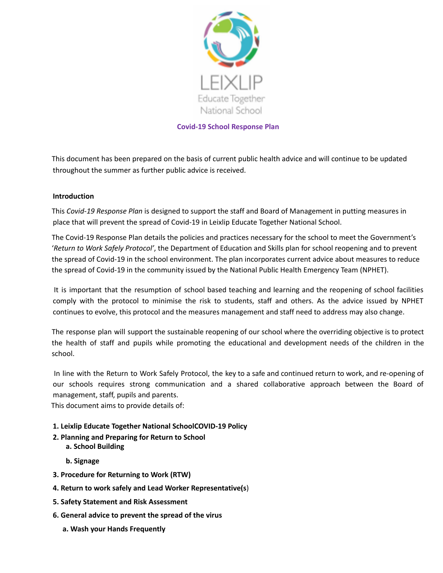

#### **Covid-19 School Response Plan**

This document has been prepared on the basis of current public health advice and will continue to be updated throughout the summer as further public advice is received.

#### **Introduction**

This *Covid-19 Response Plan* is designed to support the staff and Board of Management in putting measures in place that will prevent the spread of Covid-19 in Leixlip Educate Together National School.

The Covid-19 Response Plan details the policies and practices necessary for the school to meet the Government's '*Return to Work Safely Protocol'*, the Department of Education and Skills plan for school reopening and to prevent the spread of Covid-19 in the school environment. The plan incorporates current advice about measures to reduce the spread of Covid-19 in the community issued by the National Public Health Emergency Team (NPHET).

It is important that the resumption of school based teaching and learning and the reopening of school facilities comply with the protocol to minimise the risk to students, staff and others. As the advice issued by NPHET continues to evolve, this protocol and the measures management and staff need to address may also change.

The response plan will support the sustainable reopening of our school where the overriding objective is to protect the health of staff and pupils while promoting the educational and development needs of the children in the school.

In line with the Return to Work Safely Protocol, the key to a safe and continued return to work, and re-opening of our schools requires strong communication and a shared collaborative approach between the Board of management, staff, pupils and parents.

This document aims to provide details of:

#### **1. Leixlip Educate Together National SchoolCOVID-19 Policy**

**2. Planning and Preparing for Return to School a. School Building**

**b. Signage**

- **3. Procedure for Returning to Work (RTW)**
- **4. Return to work safely and Lead Worker Representative(s**)
- **5. Safety Statement and Risk Assessment**
- **6. General advice to prevent the spread of the virus**
	- **a. Wash your Hands Frequently**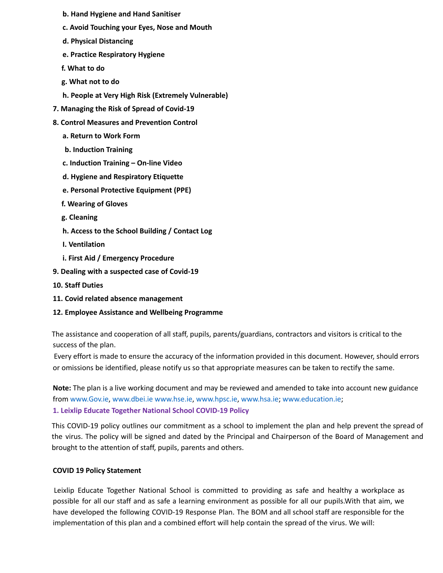- **b. Hand Hygiene and Hand Sanitiser**
- **c. Avoid Touching your Eyes, Nose and Mouth**
- **d. Physical Distancing**
- **e. Practice Respiratory Hygiene**
- **f. What to do**
- **g. What not to do**
- **h. People at Very High Risk (Extremely Vulnerable)**
- **7. Managing the Risk of Spread of Covid-19**
- **8. Control Measures and Prevention Control**
	- **a. Return to Work Form**
	- **b. Induction Training**
	- **c. Induction Training – On-line Video**
	- **d. Hygiene and Respiratory Etiquette**
	- **e. Personal Protective Equipment (PPE)**
	- **f. Wearing of Gloves**
	- **g. Cleaning**
	- **h. Access to the School Building / Contact Log**
	- **I. Ventilation**
	- **i. First Aid / Emergency Procedure**
- **9. Dealing with a suspected case of Covid-19**
- **10. Staff Duties**
- **11. Covid related absence management**
- **12. Employee Assistance and Wellbeing Programme**

The assistance and cooperation of all staff, pupils, parents/guardians, contractors and visitors is critical to the success of the plan.

Every effort is made to ensure the accuracy of the information provided in this document. However, should errors or omissions be identified, please notify us so that appropriate measures can be taken to rectify the same.

**Note:** The plan is a live working document and may be reviewed and amended to take into account new guidance from www.Gov.ie, www.dbei.ie www.hse.ie, www.hpsc.ie, www.hsa.ie; www.education.ie;

#### **1. Leixlip Educate Together National School COVID-19 Policy**

This COVID-19 policy outlines our commitment as a school to implement the plan and help prevent the spread of the virus. The policy will be signed and dated by the Principal and Chairperson of the Board of Management and brought to the attention of staff, pupils, parents and others.

#### **COVID 19 Policy Statement**

Leixlip Educate Together National School is committed to providing as safe and healthy a workplace as possible for all our staff and as safe a learning environment as possible for all our pupils.With that aim, we have developed the following COVID-19 Response Plan. The BOM and all school staff are responsible for the implementation of this plan and a combined effort will help contain the spread of the virus. We will: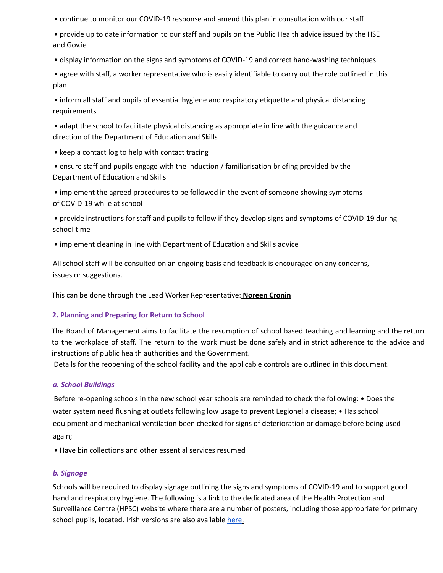• continue to monitor our COVID-19 response and amend this plan in consultation with our staff

• provide up to date information to our staff and pupils on the Public Health advice issued by the HSE and Gov.ie

• display information on the signs and symptoms of COVID-19 and correct hand-washing techniques

• agree with staff, a worker representative who is easily identifiable to carry out the role outlined in this plan

• inform all staff and pupils of essential hygiene and respiratory etiquette and physical distancing requirements

• adapt the school to facilitate physical distancing as appropriate in line with the guidance and direction of the Department of Education and Skills

• keep a contact log to help with contact tracing

• ensure staff and pupils engage with the induction / familiarisation briefing provided by the Department of Education and Skills

• implement the agreed procedures to be followed in the event of someone showing symptoms of COVID-19 while at school

• provide instructions for staff and pupils to follow if they develop signs and symptoms of COVID-19 during school time

• implement cleaning in line with Department of Education and Skills advice

All school staff will be consulted on an ongoing basis and feedback is encouraged on any concerns, issues or suggestions.

This can be done through the Lead Worker Representative: **Noreen Cronin**

## **2. Planning and Preparing for Return to School**

The Board of Management aims to facilitate the resumption of school based teaching and learning and the return to the workplace of staff. The return to the work must be done safely and in strict adherence to the advice and instructions of public health authorities and the Government.

Details for the reopening of the school facility and the applicable controls are outlined in this document.

## *a. School Buildings*

Before re-opening schools in the new school year schools are reminded to check the following: • Does the water system need flushing at outlets following low usage to prevent Legionella disease; • Has school equipment and mechanical ventilation been checked for signs of deterioration or damage before being used again;

• Have bin collections and other essential services resumed

## *b. Signage*

Schools will be required to display signage outlining the signs and symptoms of COVID-19 and to support good hand and respiratory hygiene. The following is a link to the dedicated area of the Health Protection and Surveillance Centre (HPSC) website where there are a number of posters, including those appropriate for primary school pupils, located. Irish versions are also available here.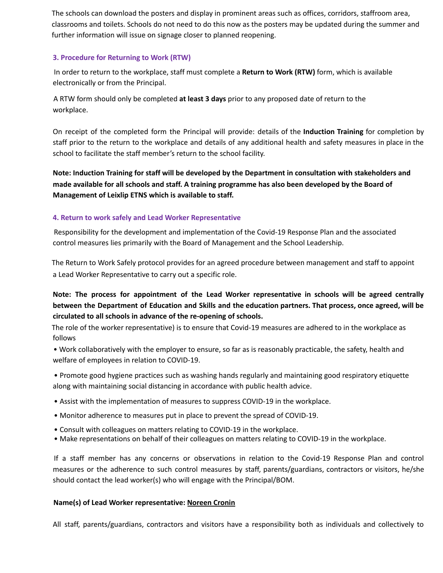The schools can download the posters and display in prominent areas such as offices, corridors, staffroom area, classrooms and toilets. Schools do not need to do this now as the posters may be updated during the summer and further information will issue on signage closer to planned reopening.

#### **3. Procedure for Returning to Work (RTW)**

In order to return to the workplace, staff must complete a **Return to Work (RTW)** form, which is available electronically or from the Principal.

A RTW form should only be completed **at least 3 days** prior to any proposed date of return to the workplace.

On receipt of the completed form the Principal will provide: details of the **Induction Training** for completion by staff prior to the return to the workplace and details of any additional health and safety measures in place in the school to facilitate the staff member's return to the school facility.

**Note: Induction Training for staff will be developed by the Department in consultation with stakeholders and** made available for all schools and staff. A training programme has also been developed by the Board of **Management of Leixlip ETNS which is available to staff.**

### **4. Return to work safely and Lead Worker Representative**

Responsibility for the development and implementation of the Covid-19 Response Plan and the associated control measures lies primarily with the Board of Management and the School Leadership.

The Return to Work Safely protocol provides for an agreed procedure between management and staff to appoint a Lead Worker Representative to carry out a specific role.

**Note: The process for appointment of the Lead Worker representative in schools will be agreed centrally** between the Department of Education and Skills and the education partners. That process, once agreed, will be **circulated to all schools in advance of the re-opening of schools.**

The role of the worker representative) is to ensure that Covid-19 measures are adhered to in the workplace as follows

• Work collaboratively with the employer to ensure, so far as is reasonably practicable, the safety, health and welfare of employees in relation to COVID-19.

• Promote good hygiene practices such as washing hands regularly and maintaining good respiratory etiquette along with maintaining social distancing in accordance with public health advice.

- Assist with the implementation of measures to suppress COVID-19 in the workplace.
- Monitor adherence to measures put in place to prevent the spread of COVID-19.
- Consult with colleagues on matters relating to COVID-19 in the workplace.
- Make representations on behalf of their colleagues on matters relating to COVID-19 in the workplace.

If a staff member has any concerns or observations in relation to the Covid-19 Response Plan and control measures or the adherence to such control measures by staff, parents/guardians, contractors or visitors, he/she should contact the lead worker(s) who will engage with the Principal/BOM.

#### **Name(s) of Lead Worker representative: Noreen Cronin**

All staff, parents/guardians, contractors and visitors have a responsibility both as individuals and collectively to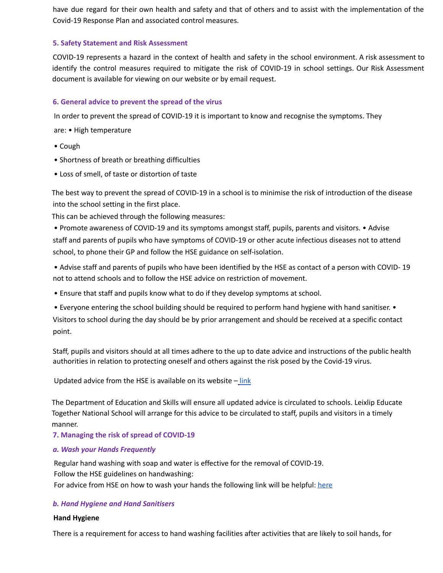have due regard for their own health and safety and that of others and to assist with the implementation of the Covid-19 Response Plan and associated control measures.

#### **5. Safety Statement and Risk Assessment**

COVID-19 represents a hazard in the context of health and safety in the school environment. A risk assessment to identify the control measures required to mitigate the risk of COVID-19 in school settings. Our Risk Assessment document is available for viewing on our website or by email request.

### **6. General advice to prevent the spread of the virus**

In order to prevent the spread of COVID-19 it is important to know and recognise the symptoms. They

are: • High temperature

- Cough
- Shortness of breath or breathing difficulties
- Loss of smell, of taste or distortion of taste

The best way to prevent the spread of COVID-19 in a school is to minimise the risk of introduction of the disease into the school setting in the first place.

This can be achieved through the following measures:

• Promote awareness of COVID-19 and its symptoms amongst staff, pupils, parents and visitors. • Advise staff and parents of pupils who have symptoms of COVID-19 or other acute infectious diseases not to attend school, to phone their GP and follow the HSE guidance on self-isolation.

• Advise staff and parents of pupils who have been identified by the HSE as contact of a person with COVID- 19 not to attend schools and to follow the HSE advice on restriction of movement.

- Ensure that staff and pupils know what to do if they develop symptoms at school.
- Everyone entering the school building should be required to perform hand hygiene with hand sanitiser. •

Visitors to school during the day should be by prior arrangement and should be received at a specific contact point.

Staff, pupils and visitors should at all times adhere to the up to date advice and instructions of the public health authorities in relation to protecting oneself and others against the risk posed by the Covid-19 virus.

Updated advice from the HSE is available on its website  $-\frac{link}{\sqrt{N}}$ 

The Department of Education and Skills will ensure all updated advice is circulated to schools. Leixlip Educate Together National School will arrange for this advice to be circulated to staff, pupils and visitors in a timely manner.

**7. Managing the risk of spread of COVID-19**

#### *a. Wash your Hands Frequently*

Regular hand washing with soap and water is effective for the removal of COVID-19. Follow the HSE guidelines on handwashing: For advice from HSE on how to wash your hands the following link will be helpful: here

#### *b. Hand Hygiene and Hand Sanitisers*

#### **Hand Hygiene**

There is a requirement for access to hand washing facilities after activities that are likely to soil hands, for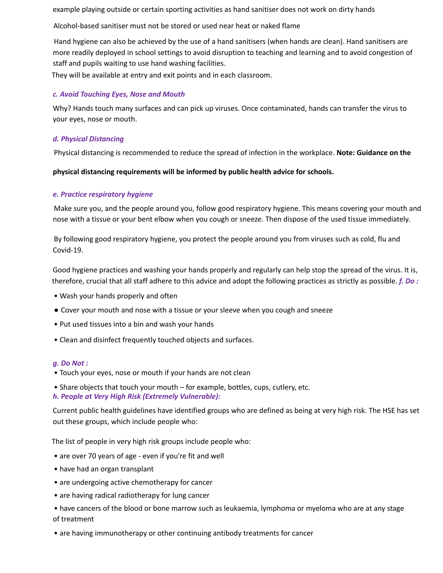example playing outside or certain sporting activities as hand sanitiser does not work on dirty hands

Alcohol-based sanitiser must not be stored or used near heat or naked flame

Hand hygiene can also be achieved by the use of a hand sanitisers (when hands are clean). Hand sanitisers are more readily deployed in school settings to avoid disruption to teaching and learning and to avoid congestion of staff and pupils waiting to use hand washing facilities.

They will be available at entry and exit points and in each classroom.

#### *c. Avoid Touching Eyes, Nose and Mouth*

Why? Hands touch many surfaces and can pick up viruses. Once contaminated, hands can transfer the virus to your eyes, nose or mouth.

### *d. Physical Distancing*

Physical distancing is recommended to reduce the spread of infection in the workplace. **Note: Guidance on the**

**physical distancing requirements will be informed by public health advice for schools.**

### *e. Practice respiratory hygiene*

Make sure you, and the people around you, follow good respiratory hygiene. This means covering your mouth and nose with a tissue or your bent elbow when you cough or sneeze. Then dispose of the used tissue immediately.

By following good respiratory hygiene, you protect the people around you from viruses such as cold, flu and Covid-19.

Good hygiene practices and washing your hands properly and regularly can help stop the spread of the virus. It is, therefore, crucial that all staff adhere to this advice and adopt the following practices as strictly as possible. *f. Do :*

- Wash your hands properly and often
- Cover your mouth and nose with a tissue or your sleeve when you cough and sneeze
- Put used tissues into a bin and wash your hands
- Clean and disinfect frequently touched objects and surfaces.

#### *g. Do Not :*

- Touch your eyes, nose or mouth if your hands are not clean
- Share objects that touch your mouth for example, bottles, cups, cutlery, etc.
- *h. People at Very High Risk (Extremely Vulnerable):*

Current public health guidelines have identified groups who are defined as being at very high risk. The HSE has set out these groups, which include people who:

The list of people in very high risk groups include people who:

- are over 70 years of age even if you're fit and well
- have had an organ transplant
- are undergoing active chemotherapy for cancer
- are having radical radiotherapy for lung cancer
- have cancers of the blood or bone marrow such as leukaemia, lymphoma or myeloma who are at any stage of treatment
- are having immunotherapy or other continuing antibody treatments for cancer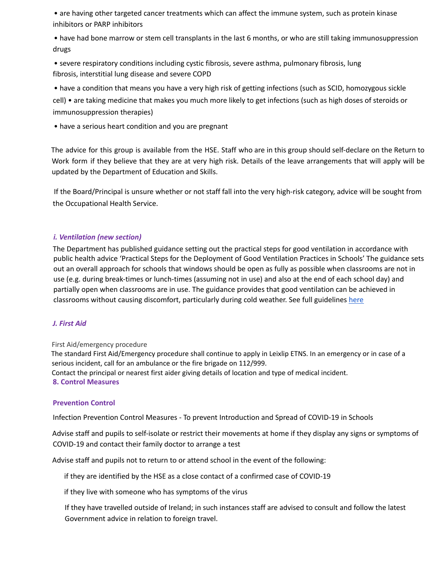• are having other targeted cancer treatments which can affect the immune system, such as protein kinase inhibitors or PARP inhibitors

• have had bone marrow or stem cell transplants in the last 6 months, or who are still taking immunosuppression drugs

• severe respiratory conditions including cystic fibrosis, severe asthma, pulmonary fibrosis, lung fibrosis, interstitial lung disease and severe COPD

• have a condition that means you have a very high risk of getting infections (such as SCID, homozygous sickle cell) • are taking medicine that makes you much more likely to get infections (such as high doses of steroids or immunosuppression therapies)

• have a serious heart condition and you are pregnant

The advice for this group is available from the HSE. Staff who are in this group should self-declare on the Return to Work form if they believe that they are at very high risk. Details of the leave arrangements that will apply will be updated by the Department of Education and Skills.

If the Board/Principal is unsure whether or not staff fall into the very high-risk category, advice will be sought from the Occupational Health Service.

#### *i. Ventilation (new section)*

The Department has published guidance setting out the practical steps for good ventilation in accordance with public health advice 'Practical Steps for the Deployment of Good Ventilation Practices in Schools' The guidance sets out an overall approach for schools that windows should be open as fully as possible when classrooms are not in use (e.g. during break-times or lunch-times (assuming not in use) and also at the end of each school day) and partially open when classrooms are in use. The guidance provides that good ventilation can be achieved in classrooms without causing discomfort, particularly during cold weather. See full guidelines here

#### *J. First Aid*

#### First Aid/emergency procedure

The standard First Aid/Emergency procedure shall continue to apply in Leixlip ETNS. In an emergency or in case of a serious incident, call for an ambulance or the fire brigade on 112/999. Contact the principal or nearest first aider giving details of location and type of medical incident. **8. Control Measures**

#### **Prevention Control**

Infection Prevention Control Measures - To prevent Introduction and Spread of COVID-19 in Schools

Advise staff and pupils to self-isolate or restrict their movements at home if they display any signs or symptoms of COVID-19 and contact their family doctor to arrange a test

Advise staff and pupils not to return to or attend school in the event of the following:

if they are identified by the HSE as a close contact of a confirmed case of COVID-19

if they live with someone who has symptoms of the virus

If they have travelled outside of Ireland; in such instances staff are advised to consult and follow the latest Government advice in relation to foreign travel.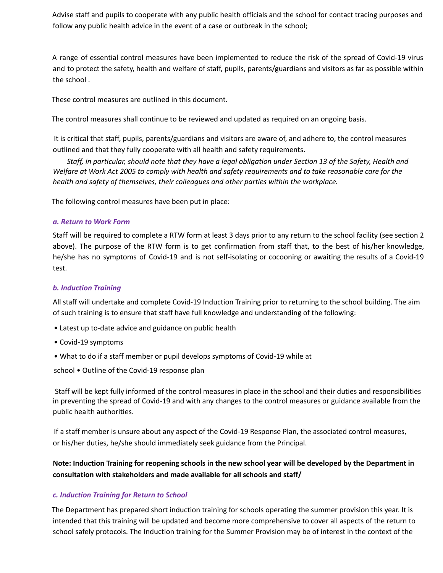Advise staff and pupils to cooperate with any public health officials and the school for contact tracing purposes and follow any public health advice in the event of a case or outbreak in the school;

A range of essential control measures have been implemented to reduce the risk of the spread of Covid-19 virus and to protect the safety, health and welfare of staff, pupils, parents/guardians and visitors as far as possible within the school .

These control measures are outlined in this document.

The control measures shall continue to be reviewed and updated as required on an ongoing basis.

It is critical that staff, pupils, parents/guardians and visitors are aware of, and adhere to, the control measures outlined and that they fully cooperate with all health and safety requirements.

Staff, in particular, should note that they have a legal obligation under Section 13 of the Safety, Health and Welfare at Work Act 2005 to comply with health and safety requirements and to take reasonable care for the *health and safety of themselves, their colleagues and other parties within the workplace.*

The following control measures have been put in place:

#### *a. Return to Work Form*

Staff will be required to complete a RTW form at least 3 days prior to any return to the school facility (see section 2 above). The purpose of the RTW form is to get confirmation from staff that, to the best of his/her knowledge, he/she has no symptoms of Covid-19 and is not self-isolating or cocooning or awaiting the results of a Covid-19 test.

## *b. Induction Training*

All staff will undertake and complete Covid-19 Induction Training prior to returning to the school building. The aim of such training is to ensure that staff have full knowledge and understanding of the following:

- Latest up to-date advice and guidance on public health
- Covid-19 symptoms
- What to do if a staff member or pupil develops symptoms of Covid-19 while at

school • Outline of the Covid-19 response plan

Staff will be kept fully informed of the control measures in place in the school and their duties and responsibilities in preventing the spread of Covid-19 and with any changes to the control measures or guidance available from the public health authorities.

If a staff member is unsure about any aspect of the Covid-19 Response Plan, the associated control measures, or his/her duties, he/she should immediately seek guidance from the Principal.

Note: Induction Training for reopening schools in the new school year will be developed by the Department in **consultation with stakeholders and made available for all schools and staff/**

#### *c. Induction Training for Return to School*

The Department has prepared short induction training for schools operating the summer provision this year. It is intended that this training will be updated and become more comprehensive to cover all aspects of the return to school safely protocols. The Induction training for the Summer Provision may be of interest in the context of the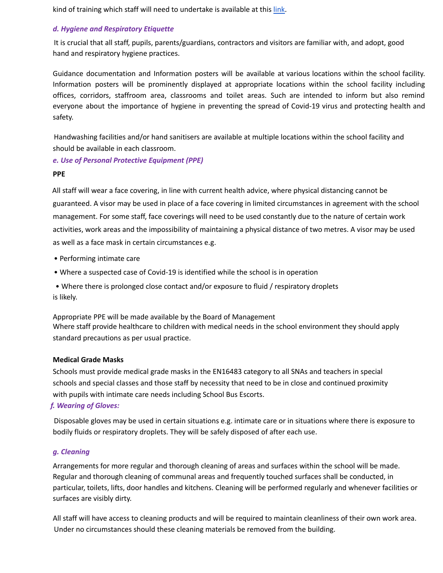kind of training which staff will need to undertake is available at this link.

#### *d. Hygiene and Respiratory Etiquette*

It is crucial that all staff, pupils, parents/guardians, contractors and visitors are familiar with, and adopt, good hand and respiratory hygiene practices.

Guidance documentation and Information posters will be available at various locations within the school facility. Information posters will be prominently displayed at appropriate locations within the school facility including offices, corridors, staffroom area, classrooms and toilet areas. Such are intended to inform but also remind everyone about the importance of hygiene in preventing the spread of Covid-19 virus and protecting health and safety.

Handwashing facilities and/or hand sanitisers are available at multiple locations within the school facility and should be available in each classroom.

#### *e. Use of Personal Protective Equipment (PPE)*

#### **PPEPage**

All staff will wear a face covering, in line with current health advice, where physical distancing cannot be guaranteed. A visor may be used in place of a face covering in limited circumstances in agreement with the school management. For some staff, face coverings will need to be used constantly due to the nature of certain work activities, work areas and the impossibility of maintaining a physical distance of two metres. A visor may be used as well as a face mask in certain circumstances e.g.

- Performing intimate care
- Where a suspected case of Covid-19 is identified while the school is in operation
- Where there is prolonged close contact and/or exposure to fluid / respiratory droplets is likely.

Appropriate PPE will be made available by the Board of Management Where staff provide healthcare to children with medical needs in the school environment they should apply standard precautions as per usual practice.

#### **Medical Grade Masks**

Schools must provide medical grade masks in the EN16483 category to all SNAs and teachers in special schools and special classes and those staff by necessity that need to be in close and continued proximity with pupils with intimate care needs including School Bus Escorts.

#### *f. Wearing of Gloves:*

Disposable gloves may be used in certain situations e.g. intimate care or in situations where there is exposure to bodily fluids or respiratory droplets. They will be safely disposed of after each use.

#### *g. Cleaning*

Arrangements for more regular and thorough cleaning of areas and surfaces within the school will be made. Regular and thorough cleaning of communal areas and frequently touched surfaces shall be conducted, in particular, toilets, lifts, door handles and kitchens. Cleaning will be performed regularly and whenever facilities or surfaces are visibly dirty.

All staff will have access to cleaning products and will be required to maintain cleanliness of their own work area. Under no circumstances should these cleaning materials be removed from the building.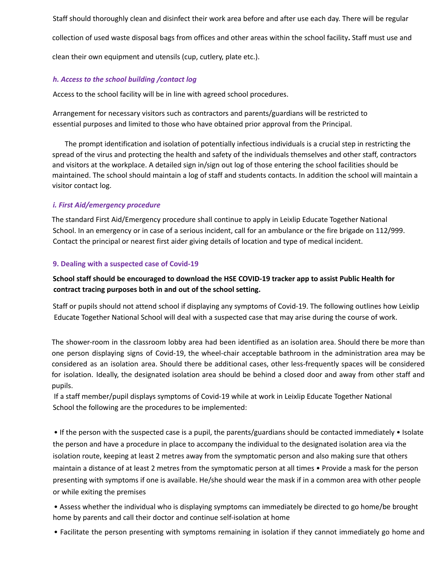Staff should thoroughly clean and disinfect their work area before and after use each day. There will be regular collection of used waste disposal bags from offices and other areas within the school facility**.** Staff must use and clean their own equipment and utensils (cup, cutlery, plate etc.).

# *h. Access to the school building /contact log*

Access to the school facility will be in line with agreed school procedures.

Arrangement for necessary visitors such as contractors and parents/guardians will be restricted to essential purposes and limited to those who have obtained prior approval from the Principal.

The prompt identification and isolation of potentially infectious individuals is a crucial step in restricting the spread of the virus and protecting the health and safety of the individuals themselves and other staff, contractors and visitors at the workplace. A detailed sign in/sign out log of those entering the school facilities should be maintained. The school should maintain a log of staff and students contacts. In addition the school will maintain a visitor contact log.

# *i. First Aid/emergency procedure*

The standard First Aid/Emergency procedure shall continue to apply in Leixlip Educate Together National School. In an emergency or in case of a serious incident, call for an ambulance or the fire brigade on 112/999. Contact the principal or nearest first aider giving details of location and type of medical incident.

## **9. Dealing with a suspected case of Covid-19**

# **School staff should be encouraged to download the HSE COVID-19 tracker app to assist Public Health for contract tracing purposes both in and out of the school setting.**

Staff or pupils should not attend school if displaying any symptoms of Covid-19. The following outlines how Leixlip Educate Together National School will deal with a suspected case that may arise during the course of work.

The shower-room in the classroom lobby area had been identified as an isolation area. Should there be more than one person displaying signs of Covid-19, the wheel-chair acceptable bathroom in the administration area may be considered as an isolation area. Should there be additional cases, other less-frequently spaces will be considered for isolation. Ideally, the designated isolation area should be behind a closed door and away from other staff and pupils.

If a staff member/pupil displays symptoms of Covid-19 while at work in Leixlip Educate Together National School the following are the procedures to be implemented:

• If the person with the suspected case is a pupil, the parents/guardians should be contacted immediately • Isolate the person and have a procedure in place to accompany the individual to the designated isolation area via the isolation route, keeping at least 2 metres away from the symptomatic person and also making sure that others maintain a distance of at least 2 metres from the symptomatic person at all times • Provide a mask for the person presenting with symptoms if one is available. He/she should wear the mask if in a common area with other people or while exiting the premises

• Assess whether the individual who is displaying symptoms can immediately be directed to go home/be brought home by parents and call their doctor and continue self-isolation at home

• Facilitate the person presenting with symptoms remaining in isolation if they cannot immediately go home and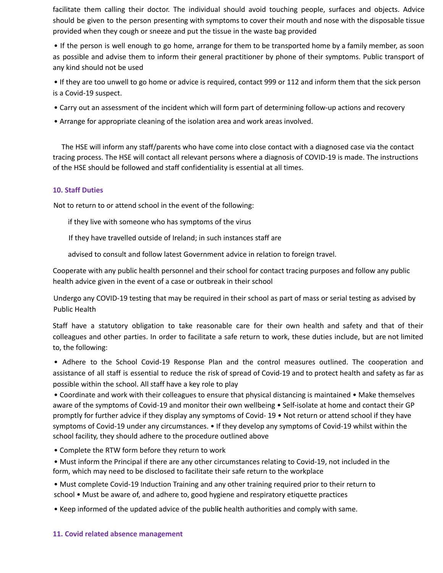facilitate them calling their doctor. The individual should avoid touching people, surfaces and objects. Advice should be given to the person presenting with symptoms to cover their mouth and nose with the disposable tissue provided when they cough or sneeze and put the tissue in the waste bag provided

• If the person is well enough to go home, arrange for them to be transported home by a family member, as soon as possible and advise them to inform their general practitioner by phone of their symptoms. Public transport of any kind should not be used

• If they are too unwell to go home or advice is required, contact 999 or 112 and inform them that the sick person is a Covid-19 suspect.

- Carry out an assessment of the incident which will form part of determining follow-up actions and recovery
- Arrange for appropriate cleaning of the isolation area and work areas involved.

The HSE will inform any staff/parents who have come into close contact with a diagnosed case via the contact tracing process. The HSE will contact all relevant persons where a diagnosis of COVID-19 is made. The instructions of the HSE should be followed and staff confidentiality is essential at all times.

#### **10. Staff Duties**

Not to return to or attend school in the event of the following:

if they live with someone who has symptoms of the virus

If they have travelled outside of Ireland; in such instances staff are

advised to consult and follow latest Government advice in relation to foreign travel.

Cooperate with any public health personnel and their school for contact tracing purposes and follow any public health advice given in the event of a case or outbreak in their school

Undergo any COVID-19 testing that may be required in their school as part of mass or serial testing as advised by Public Health

Staff have a statutory obligation to take reasonable care for their own health and safety and that of their colleagues and other parties. In order to facilitate a safe return to work, these duties include, but are not limited to, the following:

• Adhere to the School Covid-19 Response Plan and the control measures outlined. The cooperation and assistance of all staff is essential to reduce the risk of spread of Covid-19 and to protect health and safety as far as possible within the school. All staff have a key role to play

• Coordinate and work with their colleagues to ensure that physical distancing is maintained • Make themselves aware of the symptoms of Covid-19 and monitor their own wellbeing • Self-isolate at home and contact their GP promptly for further advice if they display any symptoms of Covid- 19 • Not return or attend school if they have symptoms of Covid-19 under any circumstances. • If they develop any symptoms of Covid-19 whilst within the school facility, they should adhere to the procedure outlined above

• Complete the RTW form before they return to work

• Must inform the Principal if there are any other circumstances relating to Covid-19, not included in the form, which may need to be disclosed to facilitate their safe return to the workplace

• Must complete Covid-19 Induction Training and any other training required prior to their return to school • Must be aware of, and adhere to, good hygiene and respiratory etiquette practices

• Keep informed of the updated advice of the publ**ic** health authorities and comply with same.